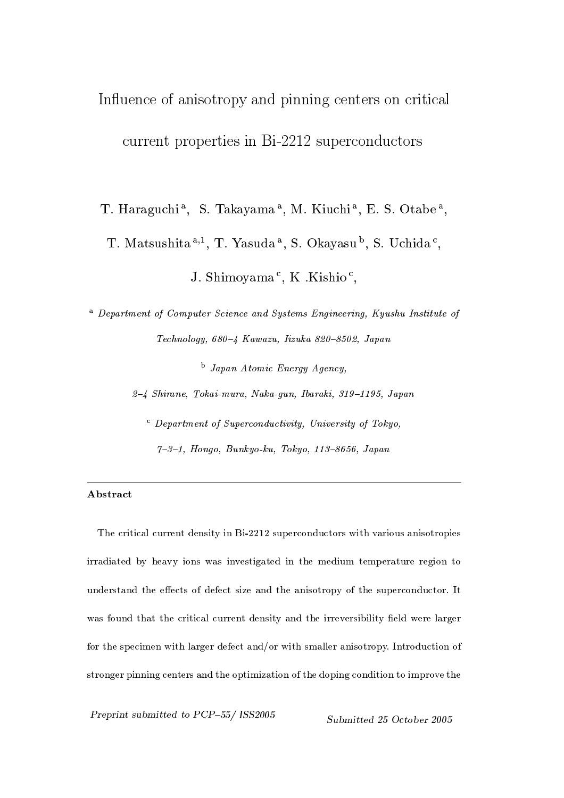# Influence of anisotropy and pinning centers on critical current properties in Bi-2212 superconductors

T. Haraguchi<sup>a</sup>, S. Takayama<sup>a</sup>, M. Kiuchi<sup>a</sup>, E. S. Otabe<sup>a</sup>,

T. Matsushita<sup>a,1</sup>, T. Yasuda<sup>a</sup>, S. Okayasu<sup>b</sup>, S. Uchida<sup>c</sup>,

J. Shimoyama<sup>c</sup>, K. Kishio<sup>c</sup>,

<sup>a</sup> Department of Computer Science and Systems Engineering, Kyushu Institute of Technology, 680-4 Kawazu, Iizuka 820-8502, Japan

 $b$  Japan Atomic Energy Agency,

2-4 Shirane, Tokai-mura, Naka-qun, Ibaraki, 319-1195, Japan

 $\sim$  Department of Superconductivity, University of Tokyo.  $7-3-1$ , Hongo, Bunkyo-ku, Tokyo, 113-8656, Japan

# Abstract

The critical current density in Bi-2212 superconductors with various anisotropies irradiated by heavy ions was investigated in the medium temperature region to understand the effects of defect size and the anisotropy of the superconductor. It was found that the critical current density and the irreversibility field were larger for the specimen with larger defect and/or with smaller anisotropy. Introduction of stronger pinning centers and the optimization of the doping condition to improve the

Preprint submitted to PCP-55/ ISS2005

Submitted 25 October 2005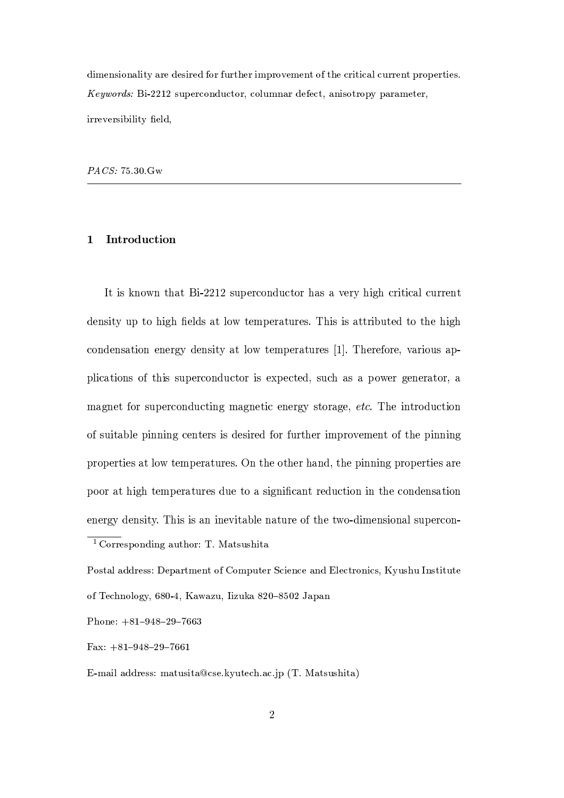dimensionality are desired for further improvement of the critical current properties. Keywords: Bi-2212 superconductor, columnar defect, anisotropy parameter, irreversibility field,

PACS: 75.30.Gw

# Introduction  $\mathbf{1}$

It is known that Bi-2212 superconductor has a very high critical current density up to high fields at low temperatures. This is attributed to the high condensation energy density at low temperatures [1]. Therefore, various applications of this superconductor is expected, such as a power generator, a magnet for superconducting magnetic energy storage, etc. The introduction of suitable pinning centers is desired for further improvement of the pinning properties at low temperatures. On the other hand, the pinning properties are poor at high temperatures due to a significant reduction in the condensation energy density. This is an inevitable nature of the two-dimensional supercon-<sup>1</sup> Corresponding author: T. Matsushita

Postal address: Department of Computer Science and Electronics, Kyushu Institute of Technology, 680-4, Kawazu, Iizuka 820-8502 Japan

Phone:  $+81-948-29-7663$ 

Fax:  $+81-948-29-7661$ 

E-mail address: matusita@cse.kyutech.ac.jp (T. Matsushita)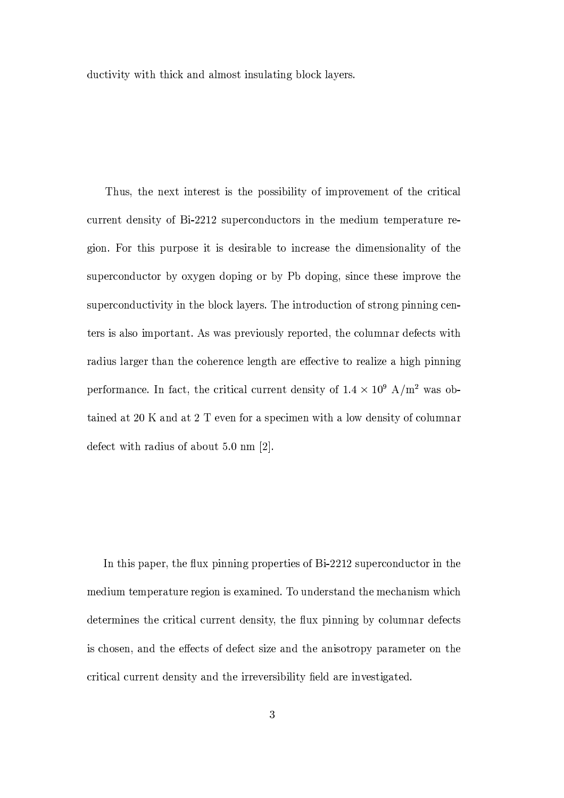$\blacksquare$  in the state of the state  $\blacksquare$ 

para y and yfffiniae yn y cael y cael y cael y cael y cael y cael y cael y cael y cael y cael y cael y cael y c current density of Bi-2212 superconductors in the medium temperature region. For this purpose it is desirable to increase the dimensionality of the  $\blacksquare$  $\mathcal{S}=\mathcal{S}=\mathcal{S}=\mathcal{S}=\mathcal{S}=\mathcal{S}=\mathcal{S}=\mathcal{S}=\mathcal{S}=\mathcal{S}=\mathcal{S}=\mathcal{S}=\mathcal{S}=\mathcal{S}=\mathcal{S}=\mathcal{S}=\mathcal{S}=\mathcal{S}=\mathcal{S}=\mathcal{S}=\mathcal{S}=\mathcal{S}=\mathcal{S}=\mathcal{S}=\mathcal{S}=\mathcal{S}=\mathcal{S}=\mathcal{S}=\mathcal{S}=\mathcal{S}=\mathcal{S}=\mathcal{S}=\mathcal{S}=\mathcal{S}=\mathcal{S}=\mathcal{S}=\mathcal{$ ters is also important. As was previously reported, the columnar defects with rchandles in the second contract of the second contract of the second contract of the second contract of the second contract of the second contract of the second contract of the second contract of the second contract of th performance. In fact, the critical current density of  $1.4 \times 10^9$  A/m<sup>2</sup> was obtained at 20 K and at 2 T even for a specimen with a low density of columnar V>P&yzPST&4?6G4BRC
V\69M>8@=
yCJm2=cM\4fÃ j"»n;>hÄrHuvj

In this paper, the flux pinning properties of Bi-2212 superconductor in the medium temperature region is examined. To understand the mechanism which determines the critical current density, the flux pinning by columnar defects is chosen, and the effects of defect size and the anisotropy parameter on the tsate in the second control of the second control of the second control of the second control of the second control of the second control of the second control of the second control of the second control of the second cont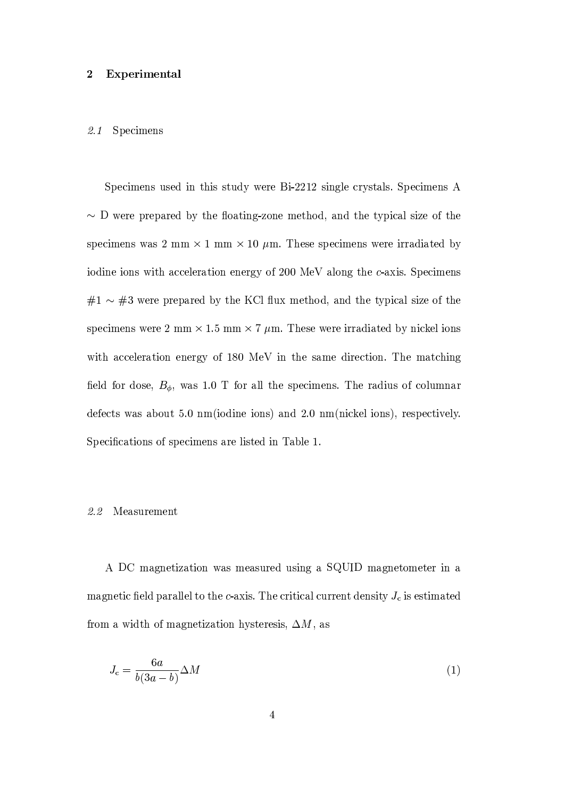## $\overline{2}$ Experimental

## Specimens  $2.1$

Specimens used in this study were Bi-2212 single crystals. Specimens A  $\sim$  D were prepared by the floating-zone method, and the typical size of the specimens was 2 mm  $\times$  1 mm  $\times$  10  $\mu$ m. These specimens were irradiated by iodine ions with acceleration energy of 200 MeV along the c-axis. Specimens  $#1 \sim #3$  were prepared by the KCl flux method, and the typical size of the specimens were 2 mm  $\times$  1.5 mm  $\times$  7  $\mu$ m. These were irradiated by nickel ions with acceleration energy of 180 MeV in the same direction. The matching field for dose,  $B_{\phi}$ , was 1.0 T for all the specimens. The radius of columnar defects was about 5.0 nm(iodine ions) and 2.0 nm(nickel ions), respectively. Specifications of specimens are listed in Table 1.

#### 22 Measurement

A DC magnetization was measured using a SQUID magnetometer in a magnetic field parallel to the c-axis. The critical current density  $J_c$  is estimated from a width of magnetization hysteresis,  $\Delta M$ , as

$$
J_c = \frac{6a}{b(3a-b)} \Delta M \tag{1}
$$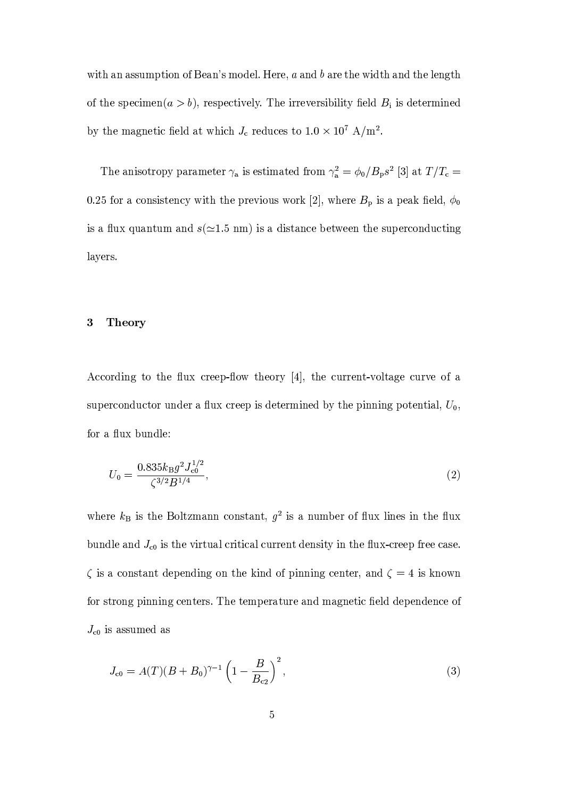with an assumption of Bean's model. Here,  $a$  and  $b$  are the width and the length of the specimen( $a > b$ ), respectively. The irreversibility field  $B_i$  is determined by the magnetic field at which  $J_c$  reduces to  $1.0 \times 10^7$  A/m<sup>2</sup>.

The anisotropy parameter  $\gamma_{\rm a}$  is estimated from  $\gamma_{\rm a}^2 = \phi_0/B_{\rm p}s^2$  [3] at  $T/T_{\rm c} =$ 0.25 for a consistency with the previous work [2], where  $B_p$  is a peak field,  $\phi_0$ is a flux quantum and  $s(\simeq1.5 \text{ nm})$  is a distance between the superconducting layers.

#### 3 **Theory**

According to the flux creep-flow theory  $[4]$ , the current-voltage curve of a superconductor under a flux creep is determined by the pinning potential,  $U_0$ , for a flux bundle:

$$
U_0 = \frac{0.835 k_{\rm B} g^2 J_{\rm c0}^{1/2}}{\zeta^{3/2} B^{1/4}},\tag{2}
$$

where  $k_B$  is the Boltzmann constant,  $g^2$  is a number of flux lines in the flux bundle and  $J_{c0}$  is the virtual critical current density in the flux-creep free case.  $\zeta$  is a constant depending on the kind of pinning center, and  $\zeta = 4$  is known for strong pinning centers. The temperature and magnetic field dependence of  $J_{c0}$  is assumed as

$$
J_{c0} = A(T)(B + B_0)^{\gamma - 1} \left(1 - \frac{B}{B_{c2}}\right)^2, \tag{3}
$$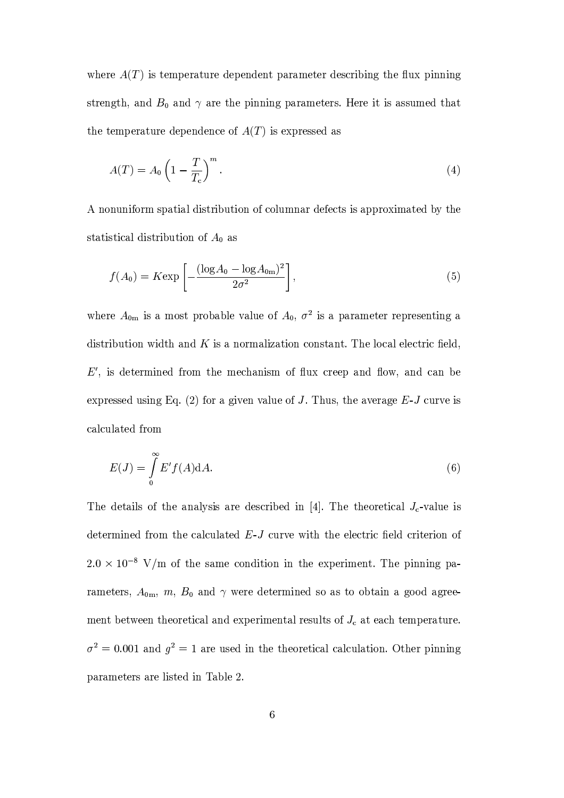where  $A(T)$  is temperature dependent parameter describing the flux pinning strength, and  $B_0$  and  $\gamma$  are the pinning parameters. Here it is assumed that the temperature dependence of  $A(T)$  is expressed as

$$
A(T) = A_0 \left( 1 - \frac{T}{T_c} \right)^m.
$$
\n<sup>(4)</sup>

A nonuniform spatial distribution of columnar defects is approximated by the statistical distribution of  $A_0$  as

$$
f(A_0) = K \exp\left[-\frac{(\log A_0 - \log A_{0m})^2}{2\sigma^2}\right],\tag{5}
$$

where  $A_{0m}$  is a most probable value of  $A_0$ ,  $\sigma^2$  is a parameter representing a distribution width and  $K$  is a normalization constant. The local electric field,  $E'$ , is determined from the mechanism of flux creep and flow, and can be expressed using Eq. (2) for a given value of J. Thus, the average  $E-J$  curve is calculated from

$$
E(J) = \int_{0}^{\infty} E' f(A) \mathrm{d}A. \tag{6}
$$

The details of the analysis are described in [4]. The theoretical  $J_c$ -value is determined from the calculated  $E-J$  curve with the electric field criterion of  $2.0 \times 10^{-8}$  V/m of the same condition in the experiment. The pinning parameters,  $A_{0m}$ ,  $m$ ,  $B_0$  and  $\gamma$  were determined so as to obtain a good agreement between theoretical and experimental results of  $J_c$  at each temperature.  $\sigma^2 = 0.001$  and  $g^2 = 1$  are used in the theoretical calculation. Other pinning parameters are listed in Table 2.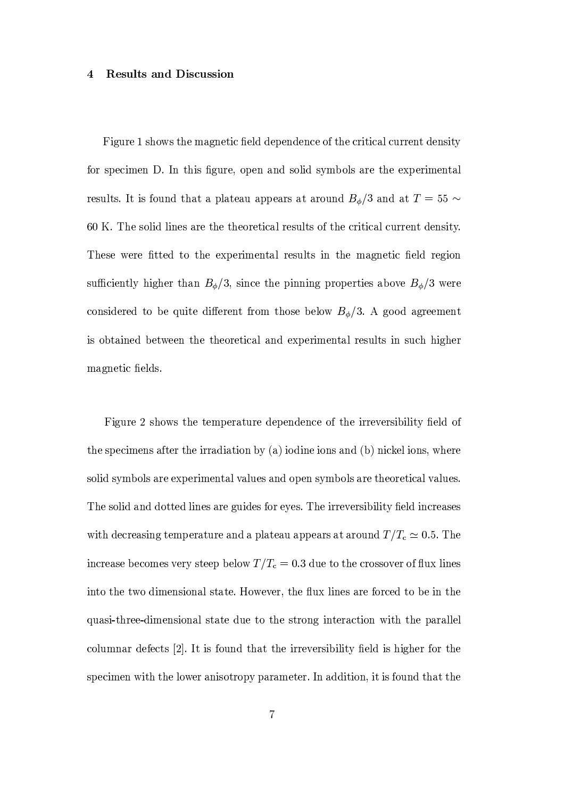#### $\overline{\mathbf{4}}$ **Results and Discussion**

Figure 1 shows the magnetic field dependence of the critical current density for specimen D. In this figure, open and solid symbols are the experimental results. It is found that a plateau appears at around  $B_{\phi}/3$  and at  $T = 55 \sim$ 60 K. The solid lines are the theoretical results of the critical current density. These were fitted to the experimental results in the magnetic field region sufficiently higher than  $B_{\phi}/3$ , since the pinning properties above  $B_{\phi}/3$  were considered to be quite different from those below  $B_{\phi}/3$ . A good agreement is obtained between the theoretical and experimental results in such higher magnetic fields.

Figure 2 shows the temperature dependence of the irreversibility field of the specimens after the irradiation by (a) iodine ions and (b) nickel ions, where solid symbols are experimental values and open symbols are theoretical values. The solid and dotted lines are guides for eyes. The irreversibility field increases with decreasing temperature and a plateau appears at around  $T/T_c \simeq 0.5$ . The increase becomes very steep below  $T/T_{\rm c}$  = 0.3 due to the crossover of flux lines into the two dimensional state. However, the flux lines are forced to be in the quasi-three-dimensional state due to the strong interaction with the parallel columnar defects [2]. It is found that the irreversibility field is higher for the specimen with the lower anisotropy parameter. In addition, it is found that the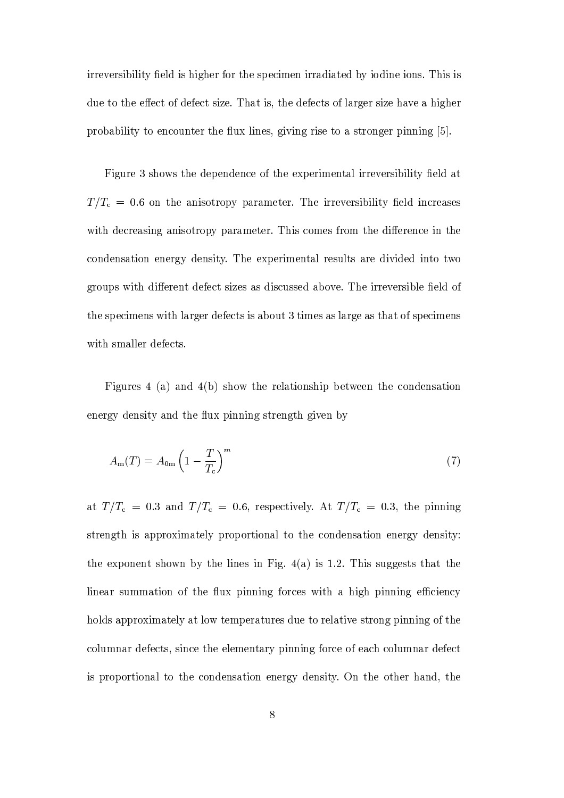irreversibility field is higher for the specimen irradiated by iodine ions. This is due to the effect of defect size. That is, the defects of larger size have a higher probability to encounter the flux lines, giving rise to a stronger pinning [5].

Figure 3 shows the dependence of the experimental irreversibility field at  $T/T_c = 0.6$  on the anisotropy parameter. The irreversibility field increases with decreasing anisotropy parameter. This comes from the difference in the condensation energy density. The experimental results are divided into two groups with different defect sizes as discussed above. The irreversible field of the specimens with larger defects is about 3 times as large as that of specimens with smaller defects.

Figures 4 (a) and 4(b) show the relationship between the condensation energy density and the flux pinning strength given by

$$
A_{\rm m}(T) = A_{0\rm m} \left( 1 - \frac{T}{T_{\rm c}} \right)^m \tag{7}
$$

at  $T/T_c = 0.3$  and  $T/T_c = 0.6$ , respectively. At  $T/T_c = 0.3$ , the pinning strength is approximately proportional to the condensation energy density: the exponent shown by the lines in Fig.  $4(a)$  is 1.2. This suggests that the linear summation of the flux pinning forces with a high pinning efficiency holds approximately at low temperatures due to relative strong pinning of the columnar defects, since the elementary pinning force of each columnar defect is proportional to the condensation energy density. On the other hand, the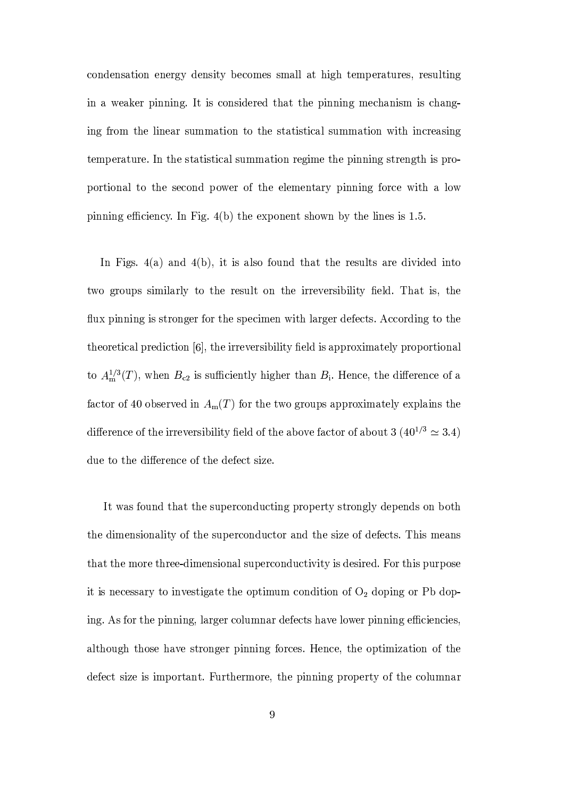condensation energy density becomes small at high temperatures, resulting in a weaker pinning. It is considered that the pinning mechanism is changing from the linear summation to the statistical summation with increasing temperature. In the statistical summation regime the pinning strength is proportional to the second power of the elementary pinning force with a low O\69;>;\6\_;>]iPZSiT&69PS;>T&Zcj>3Å;s¯.6\_]>j¸çm2è4B>PWP~\OQ=J;>PS;<48NB>=?@;bmZ4NB>PW`G69;>PS8x6\_8KJjàÃ <sup>j</sup>

3Å;Á¯w69]J8Sj¸>çvCèCJ;>V¸ç m2è{6\_4n6\_8LC
`\_8=py1=cM>;>V4NBC
4n4NB>PsRNPS8NM\`G48LC
RNPV>6GX<6\_V>PSV69; 4= 4 ?l=]cRU=cM>O>8s8U6\_hn6\_`9CJRI`\_Zâ4=4NB>P^RUPS8M\`G4=c; 4NB>Pp6\_RNRUP&X PSRU8U69m\6\_`G6\_45ZÂdP&`\_V,j@klBC
46\_8S{x4NB>P  $\overline{\phantom{a}}$  and  $\overline{\phantom{a}}$  and  $\overline{\phantom{a}}$  and  $\overline{\phantom{a}}$  and  $\overline{\phantom{a}}$  $\hbox{theoretical prediction [6], the irreversibility field is approximately proportional}$ to  $A^{1/3}(T)$ , when I  $\frac{1}{2}^{3}(T)$ , when  $B_{c2}$  is sufficiently higher than  $B_{i}$ . Hence, the difference of a factor of 40 observed in  $A_m(T)$  for the two groups approximately explains the V\6\_µQPSRNPS;>TSPl=
y4B>P6\_RNRNP&XPSRU8N6\_m\6\_`G6\_4ÅZWdP&`9V}=Jy4NB>PxCJm2=DXcPyC
T&4=JR=
y2CJm2=cM\4 <sup>È</sup> <sup>ç</sup> ¸c» <sup>È</sup> ·¹¸ <sup>è</sup> due to the difference of the defect size.

It was found that the superconducting property strongly depends on both the dimensionality of the superconductor and the size of defects. This means that the more three-dimensional superconductivity is desired. For this purpose it is necessary to investigate the optimum condition of  $O_2$  doping or Pb doping. As for the pinning, larger columnar defects have lower pinning efficiencies, although those have stronger pinning forces. Hence, the optimization of the defect size is important. Furthermore, the pinning property of the columnar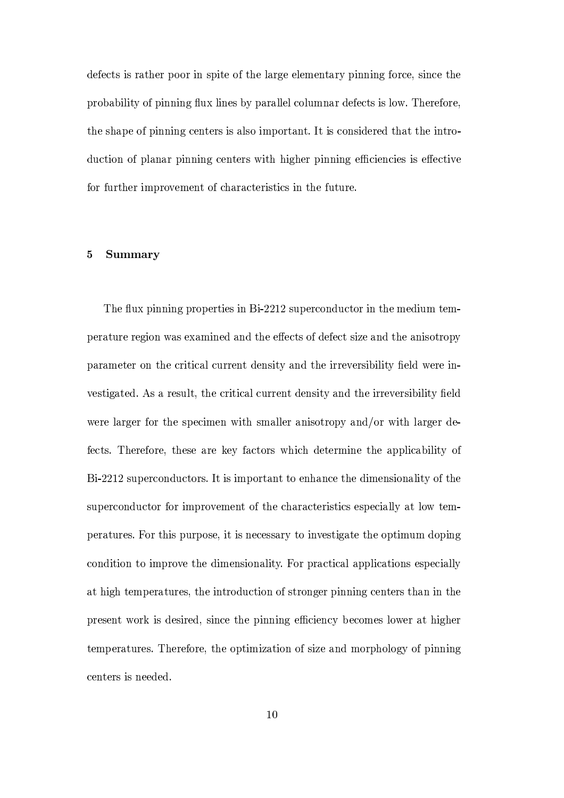$\blacksquare$ probability of pinning flux lines by parallel columnar defects is low. Therefore, the shape of pinning centers is also important. It is considered that the introduction of planar pinning centers with higher pinning efficiencies is effective yz=JRy1M>RU4NB>PR69hiO>RU=X PShnPS; 4l=JyTBC
RC
T&4PSRU6\_8U4N6\_TS8x6\_;4NB>PWyzM\4NM>RNPJj

# $\overline{5}$ Summary

 $k=0,\qquad\qquad\ldots\qquad$ OQPSRNC
4NM>RNPxRNPS]
69=c;n?xCJ8aP~>CJh}69;>PSVCJ;>V}4B>P@P&µQPST&48=JyQV>P&yzPST&48U69¶SP@CJ;>V}4B>P|C
;\698N=
4RU=cO <sup>Z</sup> parameter on the critical current density and the irreversibility field were inta and the state of the state of the state of the state of the state of the state of the state of the state of the state of the state of the state of the state of the state of the state of the state of the state of the sta rnporte and the contraction of the contraction of the contraction of the contraction of the contraction of the contraction of the contraction of the contraction of the contraction of the contraction of the contraction of t fects. Therefore, these are key factors which determine the applicability of E6GFIHJH<KH8M>O2PSRNTS=J;>V>M>T&4=JRN8Sj3546\_86\_hiOQ=JRU4CJ; 44=PS;>BCJ;>TSPx4B>P@V\6\_hiPS;>8U6\_=c;C
`G6\_4IZ=JyQ4NB>P tation in the state of the state of the state of the state of the state of the state of the state of the state of the state of the state of the state of the state of the state of the state of the state of the state of the peratures. For this purpose, it is necessary to investigate the optimum doping condition to improve the dimensionality. For practical applications especially C
4B\69]JBi4NPShiO2PRNC
4NM>RNPS8S{c4NBP69; 4RN=V>MT&4U69=J;=
y²8U4RU=c;>]JPSRO\69;>;\6\_;>]³TSPS; 4PSRN8a4BC
;i69;i4B>P present work is desired, since the pinning efficiency becomes lower at higher temperatures. Therefore, the optimization of size and morphology of pinning centers is needed.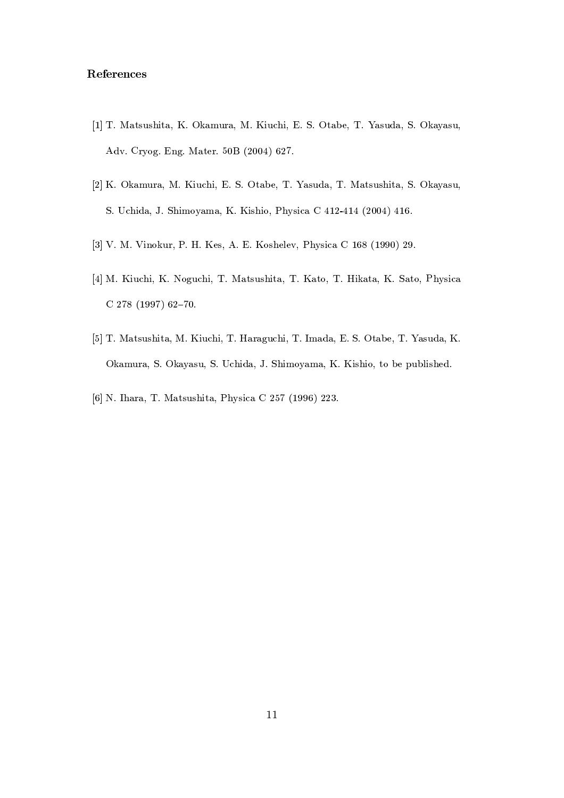# References

- [1] T. Matsushita, K. Okamura, M. Kiuchi, E. S. Otabe, T. Yasuda, S. Okayasu, Adv. Cryog. Eng. Mater. 50B (2004) 627.
- [2] K. Okamura, M. Kiuchi, E. S. Otabe, T. Yasuda, T. Matsushita, S. Okayasu, S. Uchida, J. Shimoyama, K. Kishio, Physica C 412-414 (2004) 416.
- [3] V. M. Vinokur, P. H. Kes, A. E. Koshelev, Physica C 168 (1990) 29.
- [4] M. Kiuchi, K. Noguchi, T. Matsushita, T. Kato, T. Hikata, K. Sato, Physica C 278 (1997) 62-70.
- [5] T. Matsushita, M. Kiuchi, T. Haraguchi, T. Imada, E. S. Otabe, T. Yasuda, K. Okamura, S. Okayasu, S. Uchida, J. Shimoyama, K. Kishio, to be published.
- [6] N. Ihara, T. Matsushita, Physica C 257 (1996) 223.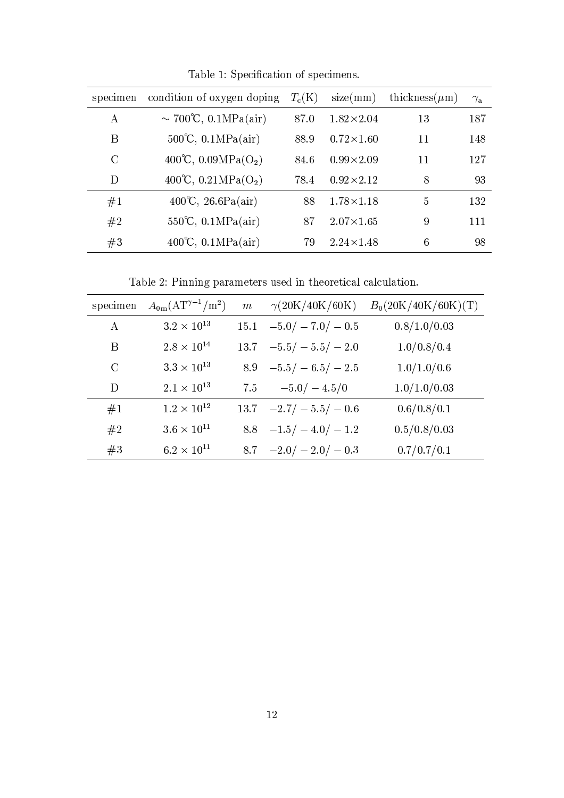| specimen | condition of oxygen doping        | $T_c(K)$ | size(mm)           | thickness( $\mu$ m) | $\gamma_{\rm a}$ |
|----------|-----------------------------------|----------|--------------------|---------------------|------------------|
| А        | $\sim 700^{\circ}C$ , 0.1MPa(air) | 87.0     | $1.82 \times 2.04$ | 13                  | 187              |
| Β        | $500^{\circ}$ C, $0.1 MPa(air)$   | 88.9     | $0.72 \times 1.60$ | 11                  | 148              |
| C        | 400°C, 0.09MPa $(O_2)$            | 84.6     | $0.99 \times 2.09$ | 11                  | 127              |
| D        | 400°C, 0.21MPa $(O_2)$            | 78.4     | $0.92 \times 2.12$ | 8                   | 93               |
| #1       | $400^{\circ}C$ , 26.6Pa(air)      | 88       | $1.78 \times 1.18$ | 5                   | 132              |
| #2       | $550^{\circ}C$ , $0.1MPa(air)$    | 87       | $2.07 \times 1.65$ | 9                   | 111              |
| #3       | $400^{\circ}$ C, $0.1 MPa(air)$   | 79       | $2.24 \times 1.48$ | 6                   | 98               |

Table 1: Specification of specimens.

Table 2: Pinning parameters used in theoretical calculation.

| specimen      | $A_{0m}(AT^{\gamma-1}/m^2)$ | $\boldsymbol{m}$ | $\gamma(20\mathrm{K}/40\mathrm{K}/60\mathrm{K})$ | $B_0(20K/40K/60K)(T)$ |
|---------------|-----------------------------|------------------|--------------------------------------------------|-----------------------|
| А             | $3.2 \times 10^{13}$        |                  | $15.1 -5.0 - 7.0 - 0.5$                          | 0.8/1.0/0.03          |
| B             | $2.8 \times 10^{14}$        |                  | $13.7 -5.5/-5.5/-2.0$                            | 1.0/0.8/0.4           |
| $\mathcal{C}$ | $3.3 \times 10^{13}$        |                  | $8.9 - 5.5/ - 6.5/ - 2.5$                        | 1.0/1.0/0.6           |
| D             | $2.1 \times 10^{13}$        | 7.5              | $-5.0/-4.5/0$                                    | 1.0/1.0/0.03          |
| #1            | $1.2 \times 10^{12}$        |                  | $13.7 -2.7/ -5.5/ -0.6$                          | 0.6/0.8/0.1           |
| #2            | $3.6 \times 10^{11}$        |                  | 8.8 $-1.5/-4.0/-1.2$                             | 0.5/0.8/0.03          |
| #3            | $6.2 \times 10^{11}$        |                  | $8.7 -2.0/ -2.0/ -0.3$                           | 0.7/0.7/0.1           |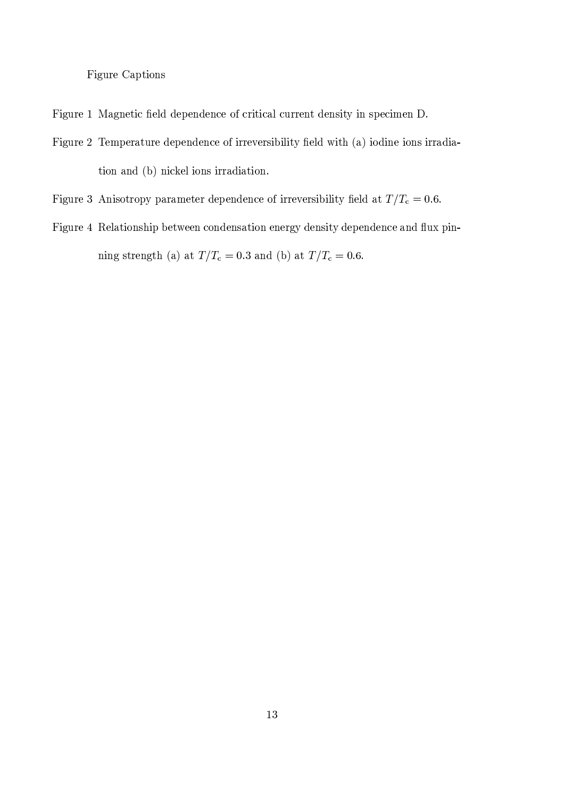**Figure Captions** 

- Figure 1 Magnetic field dependence of critical current density in specimen D.
- Figure 2 Temperature dependence of irreversibility field with (a) iodine ions irradiation and (b) nickel ions irradiation.
- Figure 3 Anisotropy parameter dependence of irreversibility field at  $T/T_c = 0.6$ .
- Figure 4 Relationship between condensation energy density dependence and flux pinning strength (a) at  $T/T_{\rm c}$  = 0.3 and (b) at  $T/T_{\rm c}$  = 0.6.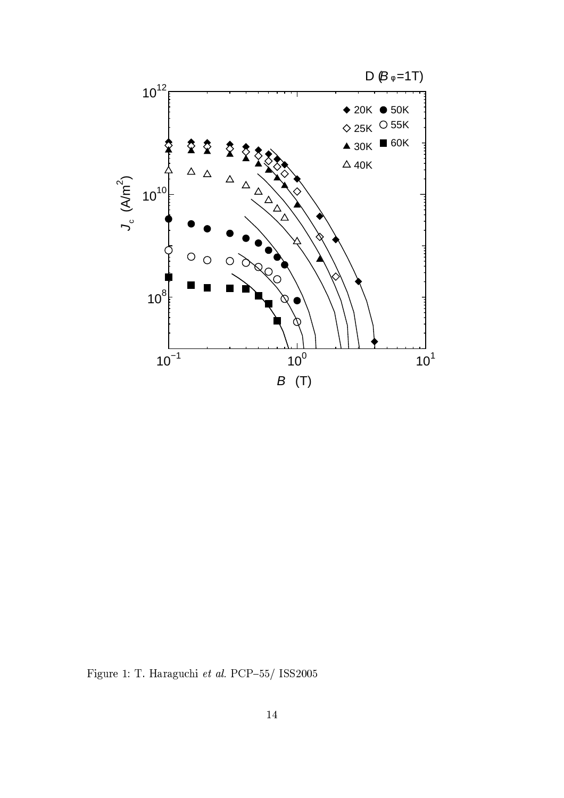

Figure 1: T. Haraguchi $\it{et~al.}$  PCP–55/ ISS2005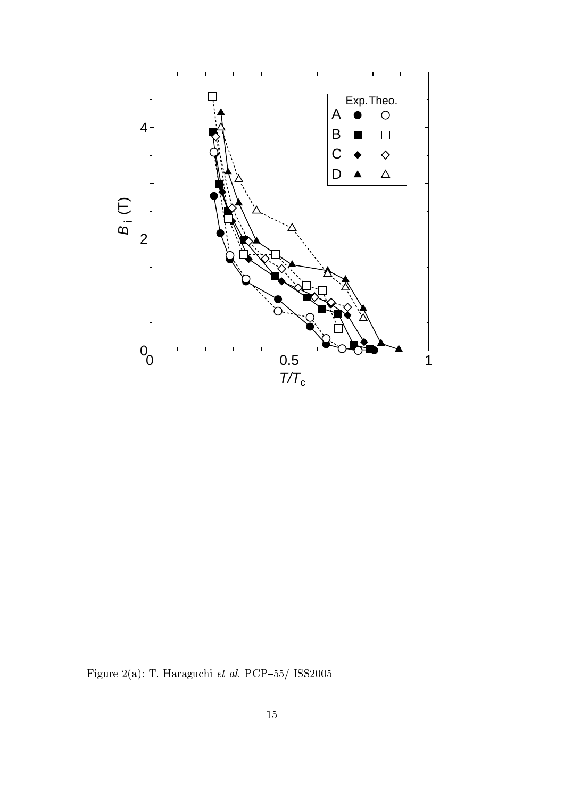

Figure 2(a): T. Haraguchi et al. PCP-55/ ISS2005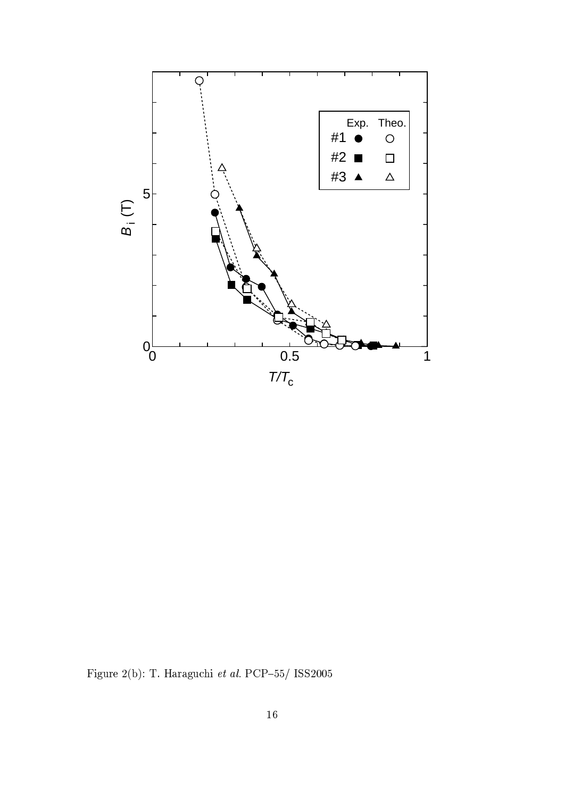

Figure 2(b): T. Haraguchi  $et$   $al.$  PCP–55/  $\overline{1}$  ISS2005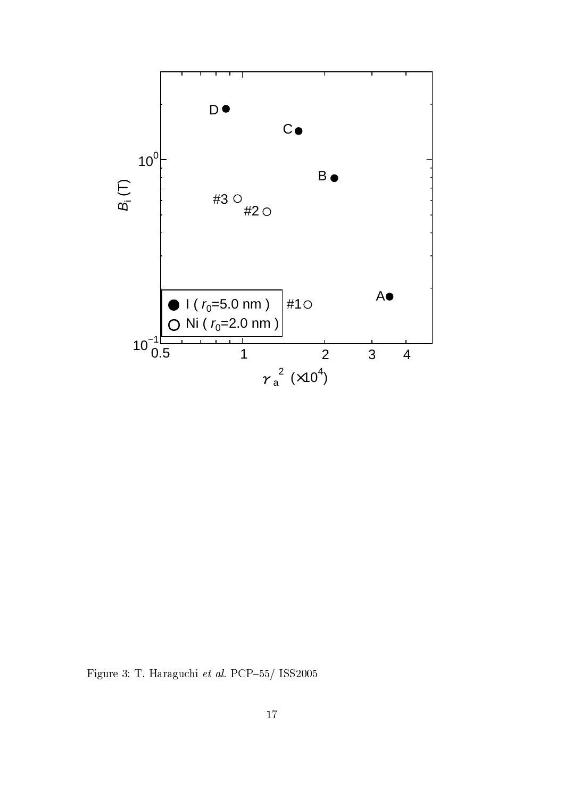

Figure 3: T. Haraguchi $\it{et~al.}$  PCP–55/ ISS2005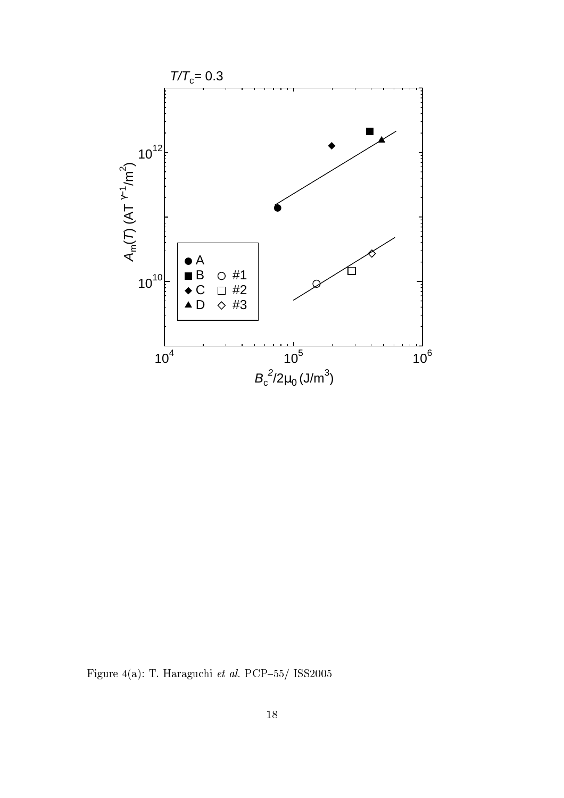

Figure 4(a): T. Haraguchi  $et$   $al.$  PCP–55/  $\overline{1}$  ISS2005